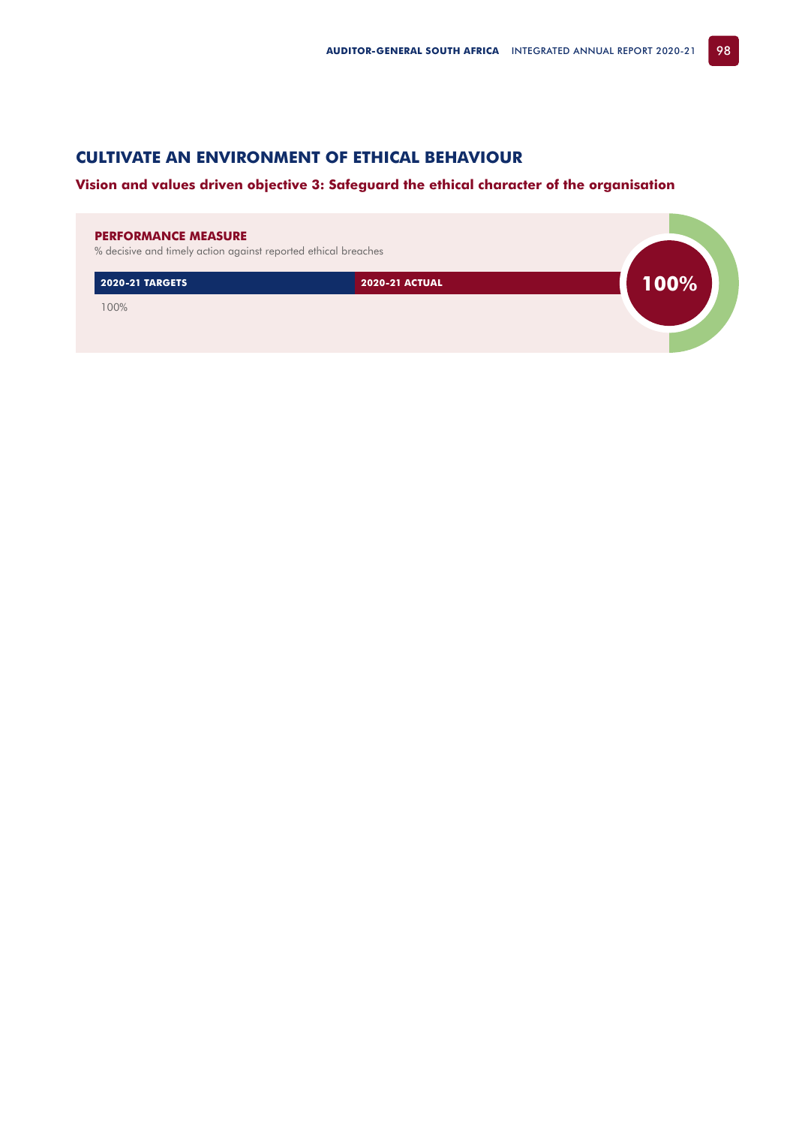# **CULTIVATE AN ENVIRONMENT OF ETHICAL BEHAVIOUR**

# **Vision and values driven objective 3: Safeguard the ethical character of the organisation**

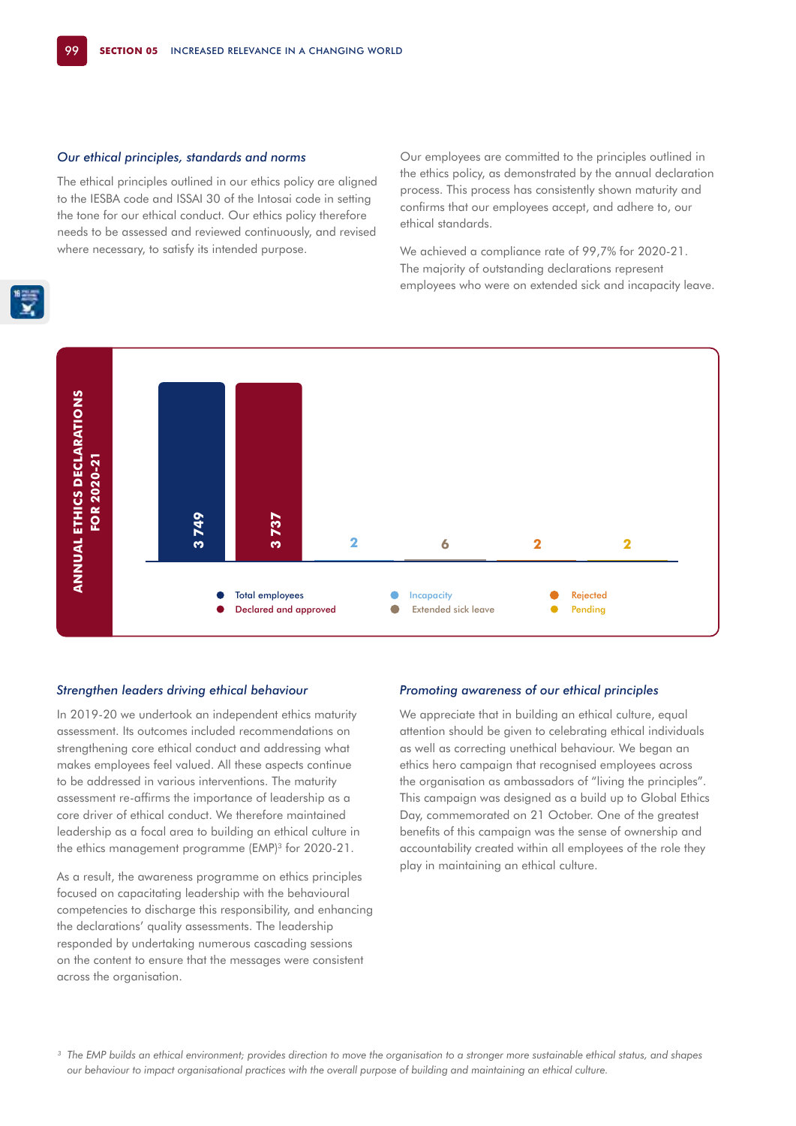### *Our ethical principles, standards and norms*

The ethical principles outlined in our ethics policy are aligned to the IESBA code and ISSAI 30 of the Intosai code in setting the tone for our ethical conduct. Our ethics policy therefore needs to be assessed and reviewed continuously, and revised where necessary, to satisfy its intended purpose.

Our employees are committed to the principles outlined in the ethics policy, as demonstrated by the annual declaration process. This process has consistently shown maturity and confirms that our employees accept, and adhere to, our ethical standards.

We achieved a compliance rate of 99,7% for 2020-21. The majority of outstanding declarations represent employees who were on extended sick and incapacity leave.





### *Strengthen leaders driving ethical behaviour*

In 2019-20 we undertook an independent ethics maturity assessment. Its outcomes included recommendations on strengthening core ethical conduct and addressing what makes employees feel valued. All these aspects continue to be addressed in various interventions. The maturity assessment re-affirms the importance of leadership as a core driver of ethical conduct. We therefore maintained leadership as a focal area to building an ethical culture in the ethics management programme (EMP)3 for 2020-21.

As a result, the awareness programme on ethics principles focused on capacitating leadership with the behavioural competencies to discharge this responsibility, and enhancing the declarations' quality assessments. The leadership responded by undertaking numerous cascading sessions on the content to ensure that the messages were consistent across the organisation.

#### *Promoting awareness of our ethical principles*

We appreciate that in building an ethical culture, equal attention should be given to celebrating ethical individuals as well as correcting unethical behaviour. We began an ethics hero campaign that recognised employees across the organisation as ambassadors of "living the principles". This campaign was designed as a build up to Global Ethics Day, commemorated on 21 October. One of the greatest benefits of this campaign was the sense of ownership and accountability created within all employees of the role they play in maintaining an ethical culture.

<sup>&</sup>lt;sup>3</sup> The EMP builds an ethical environment; provides direction to move the organisation to a stronger more sustainable ethical status, and shapes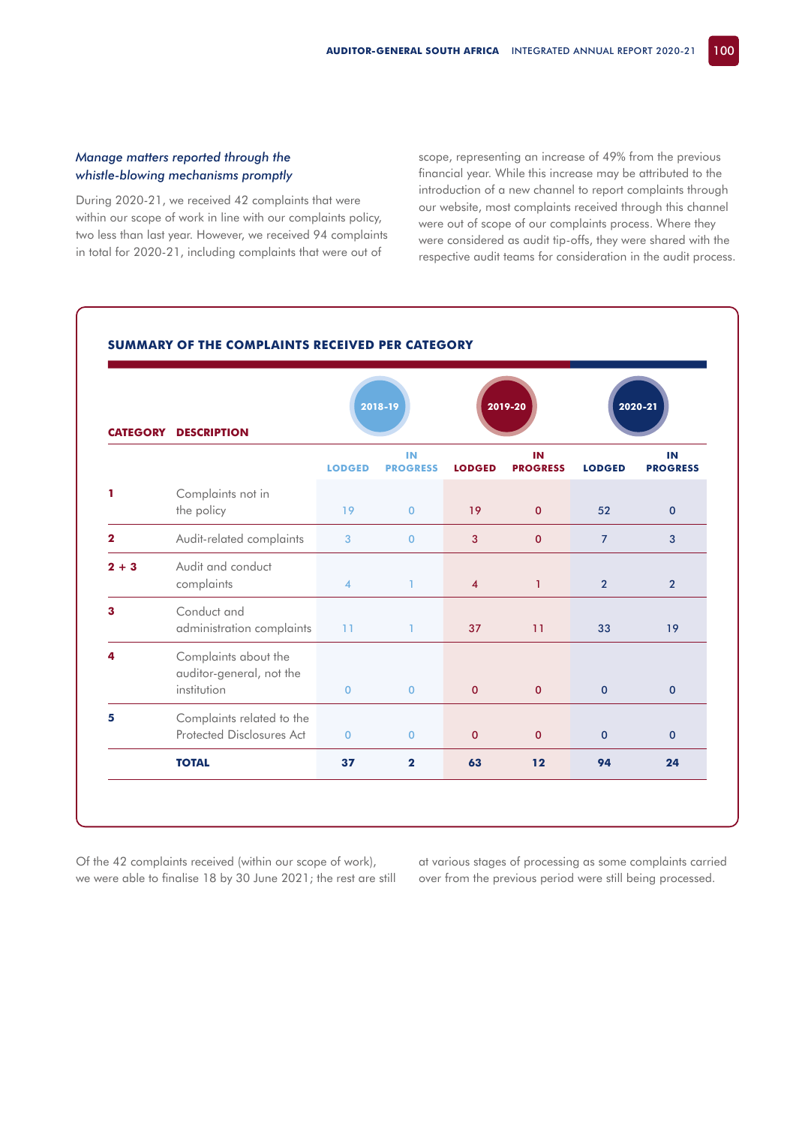# *Manage matters reported through the whistle-blowing mechanisms promptly*

During 2020-21, we received 42 complaints that were within our scope of work in line with our complaints policy, two less than last year. However, we received 94 complaints in total for 2020-21, including complaints that were out of

scope, representing an increase of 49% from the previous financial year. While this increase may be attributed to the introduction of a new channel to report complaints through our website, most complaints received through this channel were out of scope of our complaints process. Where they were considered as audit tip-offs, they were shared with the respective audit teams for consideration in the audit process.



Of the 42 complaints received (within our scope of work), we were able to finalise 18 by 30 June 2021; the rest are still at various stages of processing as some complaints carried over from the previous period were still being processed.